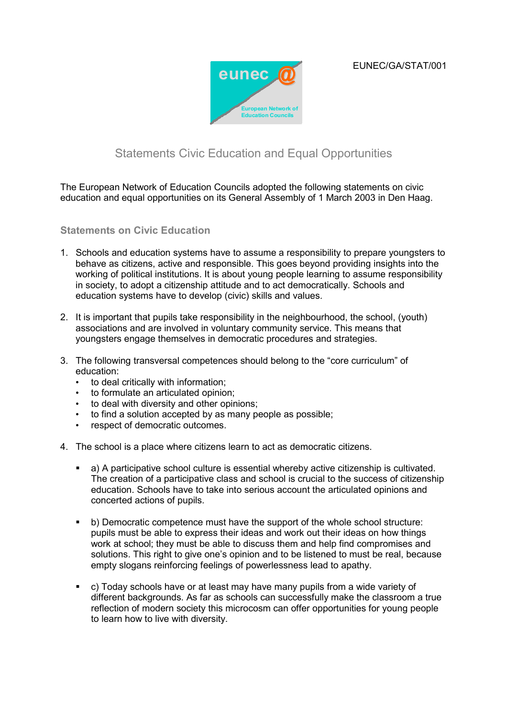EUNEC/GA/STAT/001



## Statements Civic Education and Equal Opportunities

The European Network of Education Councils adopted the following statements on civic education and equal opportunities on its General Assembly of 1 March 2003 in Den Haag.

## **Statements on Civic Education**

- 1. Schools and education systems have to assume a responsibility to prepare youngsters to behave as citizens, active and responsible. This goes beyond providing insights into the working of political institutions. It is about young people learning to assume responsibility in society, to adopt a citizenship attitude and to act democratically. Schools and education systems have to develop (civic) skills and values.
- 2. It is important that pupils take responsibility in the neighbourhood, the school, (youth) associations and are involved in voluntary community service. This means that youngsters engage themselves in democratic procedures and strategies.
- 3. The following transversal competences should belong to the "core curriculum" of education:
	- to deal critically with information;
	- to formulate an articulated opinion;
	- to deal with diversity and other opinions;
	- to find a solution accepted by as many people as possible;
	- respect of democratic outcomes.
- 4. The school is a place where citizens learn to act as democratic citizens.
	- a) A participative school culture is essential whereby active citizenship is cultivated. The creation of a participative class and school is crucial to the success of citizenship education. Schools have to take into serious account the articulated opinions and concerted actions of pupils.
	- b) Democratic competence must have the support of the whole school structure: pupils must be able to express their ideas and work out their ideas on how things work at school; they must be able to discuss them and help find compromises and solutions. This right to give one's opinion and to be listened to must be real, because empty slogans reinforcing feelings of powerlessness lead to apathy.
	- c) Today schools have or at least may have many pupils from a wide variety of different backgrounds. As far as schools can successfully make the classroom a true reflection of modern society this microcosm can offer opportunities for young people to learn how to live with diversity.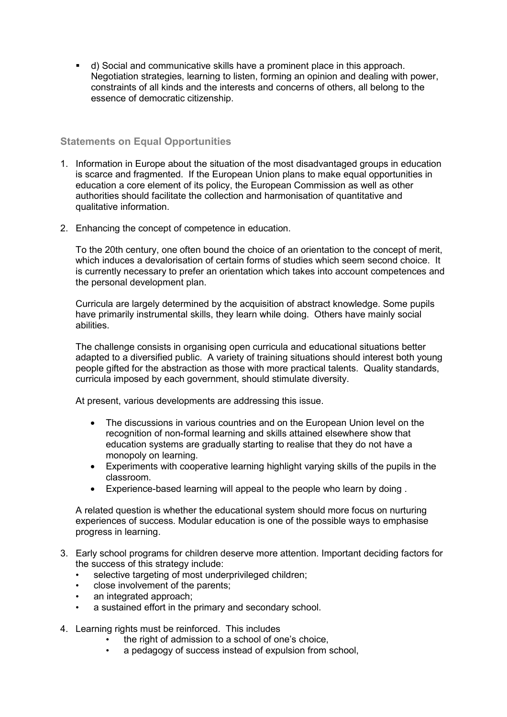d) Social and communicative skills have a prominent place in this approach. Negotiation strategies, learning to listen, forming an opinion and dealing with power, constraints of all kinds and the interests and concerns of others, all belong to the essence of democratic citizenship.

## **Statements on Equal Opportunities**

- 1. Information in Europe about the situation of the most disadvantaged groups in education is scarce and fragmented. If the European Union plans to make equal opportunities in education a core element of its policy, the European Commission as well as other authorities should facilitate the collection and harmonisation of quantitative and qualitative information.
- 2. Enhancing the concept of competence in education.

To the 20th century, one often bound the choice of an orientation to the concept of merit, which induces a devalorisation of certain forms of studies which seem second choice. It is currently necessary to prefer an orientation which takes into account competences and the personal development plan.

Curricula are largely determined by the acquisition of abstract knowledge. Some pupils have primarily instrumental skills, they learn while doing. Others have mainly social abilities.

The challenge consists in organising open curricula and educational situations better adapted to a diversified public. A variety of training situations should interest both young people gifted for the abstraction as those with more practical talents. Quality standards, curricula imposed by each government, should stimulate diversity.

At present, various developments are addressing this issue.

- The discussions in various countries and on the European Union level on the recognition of non-formal learning and skills attained elsewhere show that education systems are gradually starting to realise that they do not have a monopoly on learning.
- Experiments with cooperative learning highlight varying skills of the pupils in the classroom.
- Experience-based learning will appeal to the people who learn by doing .

A related question is whether the educational system should more focus on nurturing experiences of success. Modular education is one of the possible ways to emphasise progress in learning.

- 3. Early school programs for children deserve more attention. Important deciding factors for the success of this strategy include:
	- selective targeting of most underprivileged children;
	- close involvement of the parents;
	- an integrated approach:
	- a sustained effort in the primary and secondary school.
- 4. Learning rights must be reinforced. This includes
	- the right of admission to a school of one's choice,
		- a pedagogy of success instead of expulsion from school,